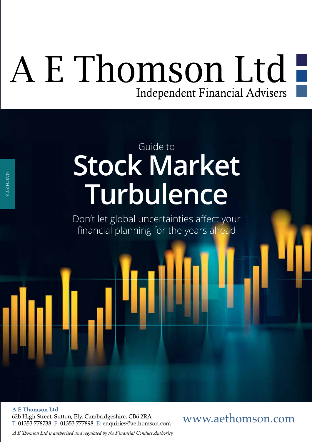# A E Thomson Ltd -Independent Financial Advisers

# **Stock Market Turbulence** Guide to

Don't let global uncertainties afect your financial planning for the years ahead

**A E Thomson Ltd** 62b High Street, Sutton, Ely, Cambridgeshire, CB6 2RA T: 01353 778738 F: 01353 777898 E: enquiries@aethomson.com

### www.aethomson.com

*A E Tomson Ltd is authorised and regulated by the Financial Conduct Authority*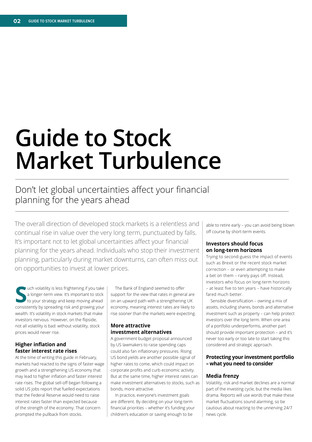# **Guide to Stock Market Turbulence**

### Don't let global uncertainties affect your financial planning for the years ahead

The overall direction of developed stock markets is a relentless and continual rise in value over the very long term, punctuated by falls. It's important not to let global uncertainties affect your financial planning for the years ahead. Individuals who stop their investment planning, particularly during market downturns, can often miss out on opportunities to invest at lower prices.

**Solution** states a longer-term view. It's important to stick to your strategy and keep moving ahead consistently by spreading risk and growing your uch volatility is less frightening if you take a longer-term view. It's important to stick to your strategy and keep moving ahead wealth. It's volatility in stock markets that make investors nervous. However, on the fipside, not all volatility is bad: without volatility, stock prices would never rise.

#### **Higher infation and faster interest rate rises**

At the time of writing this guide in February, markets had reacted to the signs of faster wage growth and a strengthening US economy that may lead to higher infation and faster interest rate rises. The global sell-off began following a solid US jobs report that fuelled expectations that the Federal Reserve would need to raise interest rates faster than expected because of the strength of the economy. That concern prompted the pullback from stocks.

The Bank of England seemed to offer support for the view that rates in general are on an upward path with a strengthening UK economy, meaning interest rates are likely to rise sooner than the markets were expecting.

#### **More attractive investment alternatives**

A government budget proposal announced by US lawmakers to raise spending caps could also fan infationary pressures. Rising US bond yields are another possible signal of higher rates to come, which could impact on corporate profts and curb economic activity. But at the same time, higher interest rates can make investment alternatives to stocks, such as bonds, more attractive.

In practice, everyone's investment goals are diferent. By deciding on your long-term fnancial priorities – whether it's funding your children's education or saving enough to be

able to retire early – you can avoid being blown off course by short-term events.

#### **Investors should focus on long-term horizons**

Trying to second-guess the impact of events such as Brexit or the recent stock market correction – or even attempting to make a bet on them - rarely pays off. Instead, investors who focus on long-term horizons – at least fve to ten years – have historically fared much better.

Sensible diversification - owning a mix of assets, including shares, bonds and alternative investment such as property – can help protect investors over the long term. When one area of a portfolio underperforms, another part should provide important protection – and it's never too early or too late to start taking this considered and strategic approach.

#### **Protecting your investment portfolio – what you need to consider**

#### **Media frenzy**

Volatility, risk and market declines are a normal part of the investing cycle, but the media likes drama. Reports will use words that make these market fuctuations sound alarming, so be cautious about reacting to the unnerving 24/7 news cycle.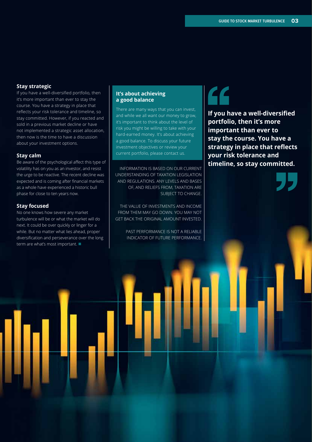#### **Stay strategic**

If you have a well-diversifed portfolio, then it's more important than ever to stay the course. You have a strategy in place that reflects your risk tolerance and timeline, so stay committed. However, if you reacted and sold in a previous market decline or have not implemented a strategic asset allocation, then now is the time to have a discussion about your investment options.

#### **Stay calm**

Be aware of the psychological afect this type of volatility has on you as an investor, and resist the urge to be reactive. The recent decline was expected and is coming after fnancial markets as a whole have experienced a historic bull phase for close to ten years now.

#### **Stay focused**

No one knows how severe any market turbulence will be or what the market will do next. It could be over quickly or linger for a while. But no matter what lies ahead, proper diversifcation and perseverance over the long term are what's most important.  $\blacksquare$ 

#### **It's about achieving a good balance**

There are many ways that you can invest, and while we all want our money to grow, it's important to think about the level of risk you might be willing to take with your hard-earned money. It's about achieving a good balance. To discuss your future investment objectives or review your current portfolio, please contact us.

INFORMATION IS BASED ON OUR CURRENT UNDERSTANDING OF TAXATION LEGISLATION AND REGULATIONS. ANY LEVELS AND BASES OF, AND RELIEFS FROM, TAXATION ARE SUBJECT TO CHANGE.

THE VALUE OF INVESTMENTS AND INCOME FROM THEM MAY GO DOWN. YOU MAY NOT GET BACK THE ORIGINAL AMOUNT INVESTED.

> PAST PERFORMANCE IS NOT A RELIABLE INDICATOR OF FUTURE PERFORMANCE.

**If you have a well-diversifed portfolio, then it's more important than ever to stay the course. You have a strategy in place that refects your risk tolerance and timeline, so stay committed.**